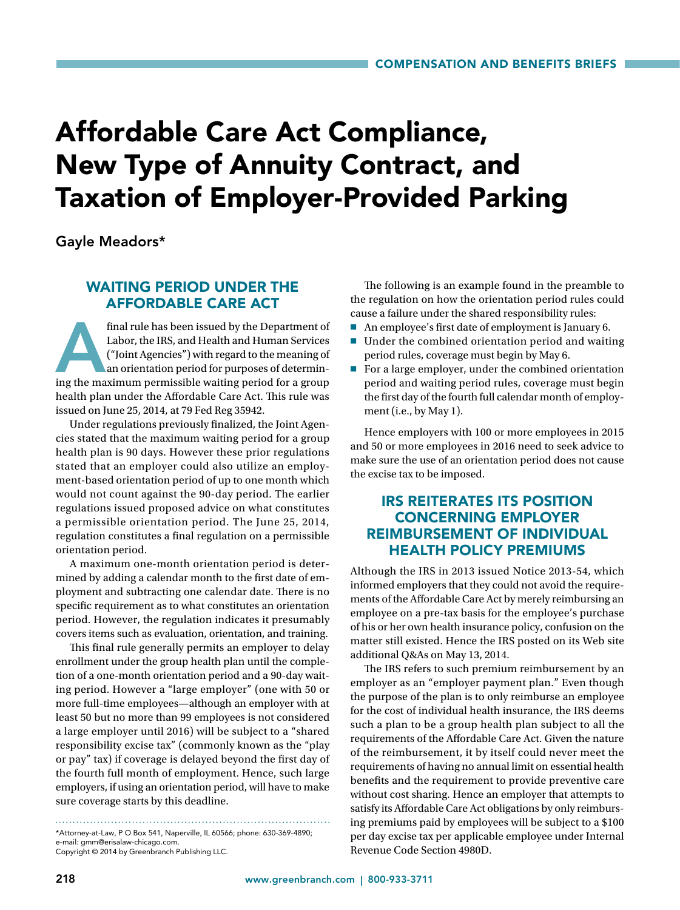# Affordable Care Act Compliance, New Type of Annuity Contract, and Taxation of Employer-Provided Parking

Gayle Meadors\*

## WAITING PERIOD UNDER THE AFFORDABLE CARE ACT

final rule has been issued by the Department of Labor, the IRS, and Health and Human Services ("Joint Agencies") with regard to the meaning of an orientation period for purposes of determining the maximum permissible waiti Labor, the IRS, and Health and Human Services ("Joint Agencies") with regard to the meaning of an orientation period for purposes of determinhealth plan under the Affordable Care Act. This rule was issued on June 25, 2014, at 79 Fed Reg 35942.

Under regulations previously finalized, the Joint Agencies stated that the maximum waiting period for a group health plan is 90 days. However these prior regulations stated that an employer could also utilize an employment-based orientation period of up to one month which would not count against the 90-day period. The earlier regulations issued proposed advice on what constitutes a permissible orientation period. The June 25, 2014, regulation constitutes a final regulation on a permissible orientation period.

A maximum one-month orientation period is determined by adding a calendar month to the first date of employment and subtracting one calendar date. There is no specific requirement as to what constitutes an orientation period. However, the regulation indicates it presumably covers items such as evaluation, orientation, and training.

This final rule generally permits an employer to delay enrollment under the group health plan until the completion of a one-month orientation period and a 90-day waiting period. However a "large employer" (one with 50 or more full-time employees—although an employer with at least 50 but no more than 99 employees is not considered a large employer until 2016) will be subject to a "shared responsibility excise tax" (commonly known as the "play or pay" tax) if coverage is delayed beyond the first day of the fourth full month of employment. Hence, such large employers, if using an orientation period, will have to make sure coverage starts by this deadline.

\*Attorney-at-Law, P O Box 541, Naperville, IL 60566; phone: 630-369-4890; e-mail: gmm@erisalaw-chicago.com. Copyright © 2014 by Greenbranch Publishing LLC.

The following is an example found in the preamble to the regulation on how the orientation period rules could cause a failure under the shared responsibility rules:

- An employee's first date of employment is January 6.
- Under the combined orientation period and waiting period rules, coverage must begin by May 6.
- $\blacksquare$  For a large employer, under the combined orientation period and waiting period rules, coverage must begin the first day of the fourth full calendar month of employment (i.e., by May 1).

Hence employers with 100 or more employees in 2015 and 50 or more employees in 2016 need to seek advice to make sure the use of an orientation period does not cause the excise tax to be imposed.

## IRS REITERATES ITS POSITION CONCERNING EMPLOYER REIMBURSEMENT OF INDIVIDUAL HEALTH POLICY PREMIUMS

Although the IRS in 2013 issued Notice 2013-54, which informed employers that they could not avoid the requirements of the Affordable Care Act by merely reimbursing an employee on a pre-tax basis for the employee's purchase of his or her own health insurance policy, confusion on the matter still existed. Hence the IRS posted on its Web site additional Q&As on May 13, 2014.

The IRS refers to such premium reimbursement by an employer as an "employer payment plan." Even though the purpose of the plan is to only reimburse an employee for the cost of individual health insurance, the IRS deems such a plan to be a group health plan subject to all the requirements of the Affordable Care Act. Given the nature of the reimbursement, it by itself could never meet the requirements of having no annual limit on essential health benefits and the requirement to provide preventive care without cost sharing. Hence an employer that attempts to satisfy its Affordable Care Act obligations by only reimbursing premiums paid by employees will be subject to a \$100 per day excise tax per applicable employee under Internal Revenue Code Section 4980D.